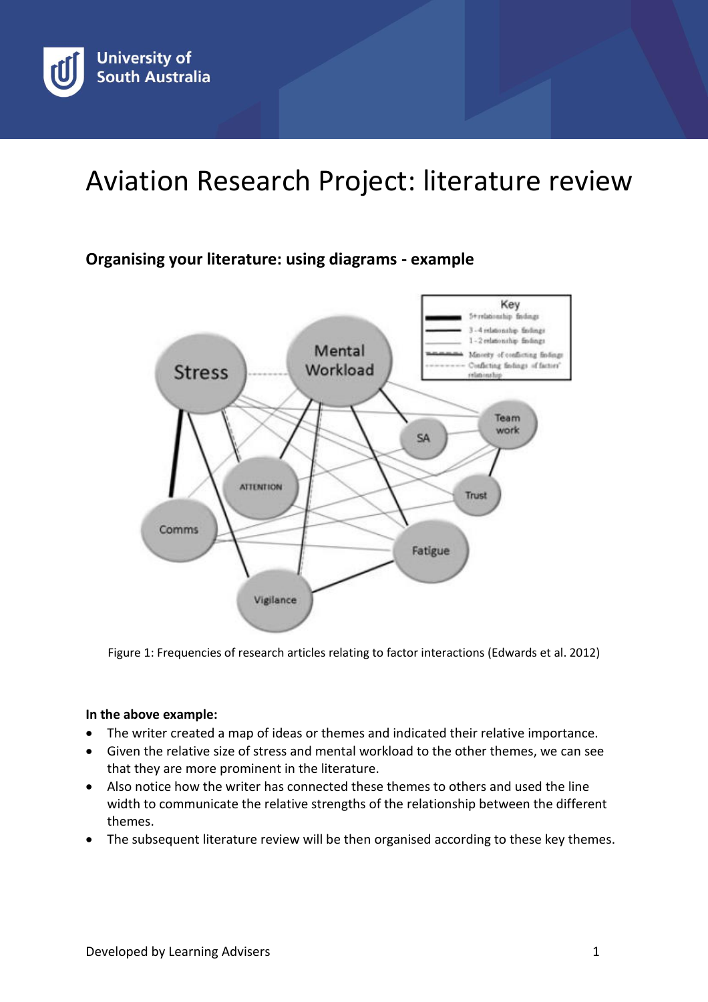# Aviation Research Project: literature review

## **Organising your literature: using diagrams - example**



Figure 1: Frequencies of research articles relating to factor interactions (Edwards et al. 2012)

### **In the above example:**

- The writer created a map of ideas or themes and indicated their relative importance.
- Given the relative size of stress and mental workload to the other themes, we can see that they are more prominent in the literature.
- Also notice how the writer has connected these themes to others and used the line width to communicate the relative strengths of the relationship between the different themes.
- The subsequent literature review will be then organised according to these key themes.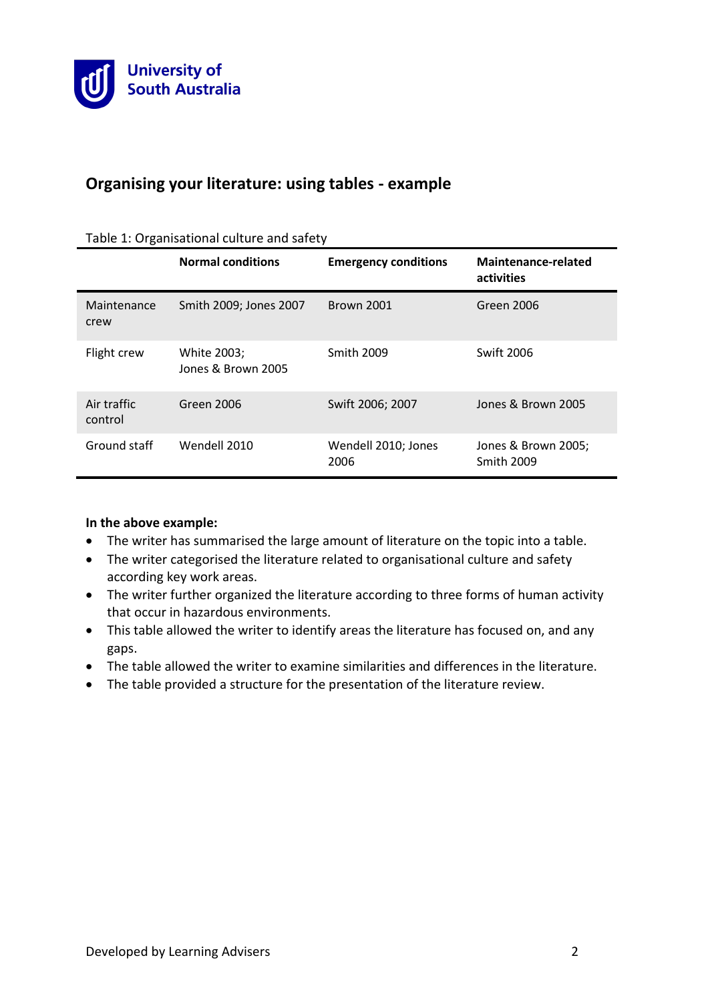

## **Organising your literature: using tables - example**

|                        | <b>Normal conditions</b>          | <b>Emergency conditions</b> | Maintenance-related<br>activities        |
|------------------------|-----------------------------------|-----------------------------|------------------------------------------|
| Maintenance<br>crew    | Smith 2009; Jones 2007            | <b>Brown 2001</b>           | Green 2006                               |
| Flight crew            | White 2003;<br>Jones & Brown 2005 | <b>Smith 2009</b>           | <b>Swift 2006</b>                        |
| Air traffic<br>control | Green 2006                        | Swift 2006; 2007            | Jones & Brown 2005                       |
| Ground staff           | Wendell 2010                      | Wendell 2010; Jones<br>2006 | Jones & Brown 2005;<br><b>Smith 2009</b> |

#### Table 1: Organisational culture and safety

#### **In the above example:**

- The writer has summarised the large amount of literature on the topic into a table.
- The writer categorised the literature related to organisational culture and safety according key work areas.
- The writer further organized the literature according to three forms of human activity that occur in hazardous environments.
- This table allowed the writer to identify areas the literature has focused on, and any gaps.
- The table allowed the writer to examine similarities and differences in the literature.
- The table provided a structure for the presentation of the literature review.